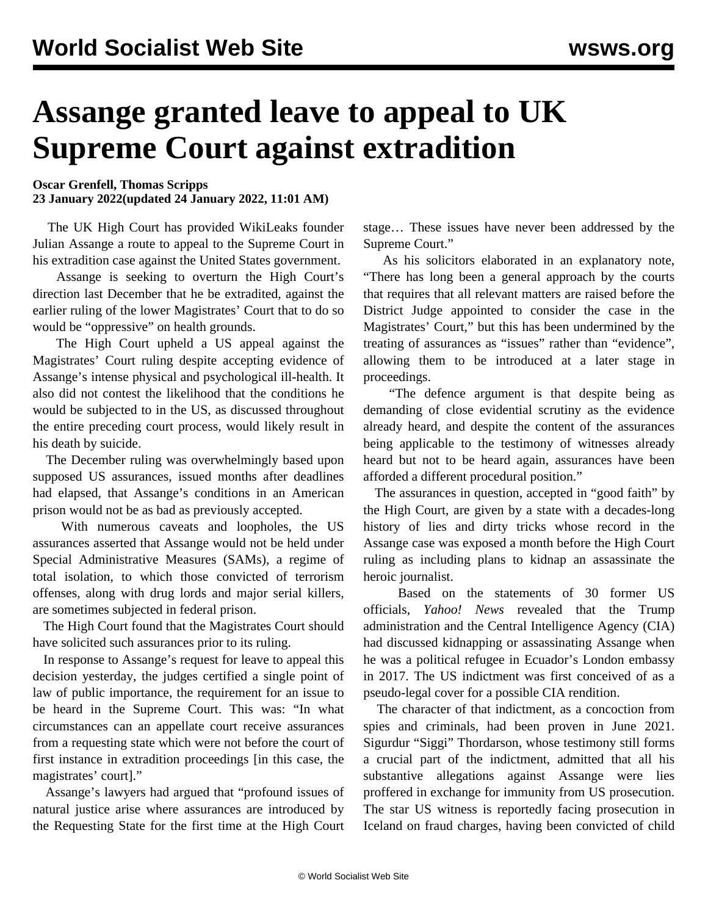## **Assange granted leave to appeal to UK Supreme Court against extradition**

**Oscar Grenfell, Thomas Scripps 23 January 2022(updated 24 January 2022, 11:01 AM)**

 The UK High Court has provided WikiLeaks founder Julian Assange a route to appeal to the Supreme Court in his extradition case against the United States government.

 Assange is seeking to overturn the High Court's direction last December that he be extradited, against the earlier ruling of the lower Magistrates' Court that to do so would be "oppressive" on health grounds.

 The High Court upheld a US appeal against the Magistrates' Court ruling despite accepting evidence of Assange's intense physical and psychological ill-health. It also did not contest the likelihood that the conditions he would be subjected to in the US, as discussed throughout the entire preceding court process, would likely result in his death by suicide.

 The December ruling was overwhelmingly based upon supposed US assurances, issued months after deadlines had elapsed, that Assange's conditions in an American prison would not be as bad as previously accepted.

 With numerous caveats and loopholes, the US assurances asserted that Assange would not be held under Special Administrative Measures (SAMs), a regime of total isolation, to which those convicted of terrorism offenses, along with drug lords and major serial killers, are sometimes subjected in federal prison.

 The High Court found that the Magistrates Court should have solicited such assurances prior to its ruling.

 In response to Assange's request for leave to appeal this decision yesterday, the judges certified a single point of law of public importance, the requirement for an issue to be heard in the Supreme Court. This was: "In what circumstances can an appellate court receive assurances from a requesting state which were not before the court of first instance in extradition proceedings [in this case, the magistrates' court]."

 Assange's lawyers had argued that "profound issues of natural justice arise where assurances are introduced by the Requesting State for the first time at the High Court

stage… These issues have never been addressed by the Supreme Court."

 As his solicitors elaborated in an explanatory note, "There has long been a general approach by the courts that requires that all relevant matters are raised before the District Judge appointed to consider the case in the Magistrates' Court," but this has been undermined by the treating of assurances as "issues" rather than "evidence", allowing them to be introduced at a later stage in proceedings.

 "The defence argument is that despite being as demanding of close evidential scrutiny as the evidence already heard, and despite the content of the assurances being applicable to the testimony of witnesses already heard but not to be heard again, assurances have been afforded a different procedural position."

 The assurances in question, accepted in "good faith" by the High Court, are given by a state with a decades-long history of lies and dirty tricks whose record in the Assange case was exposed a month before the High Court ruling as including plans to kidnap an assassinate the heroic journalist.

 Based on the statements of 30 former US officials, *Yahoo! News* revealed that the Trump administration and the Central Intelligence Agency (CIA) had discussed kidnapping or assassinating Assange when he was a political refugee in Ecuador's London embassy in 2017. The US indictment was first conceived of as a pseudo-legal cover for a possible CIA rendition.

 The character of that indictment, as a concoction from spies and criminals, had been proven in June 2021. Sigurdur "Siggi" Thordarson, whose testimony still forms a crucial part of the indictment, admitted that all his substantive allegations against Assange were lies proffered in exchange for immunity from US prosecution. The star US witness is reportedly facing prosecution in Iceland on fraud charges, having been convicted of child